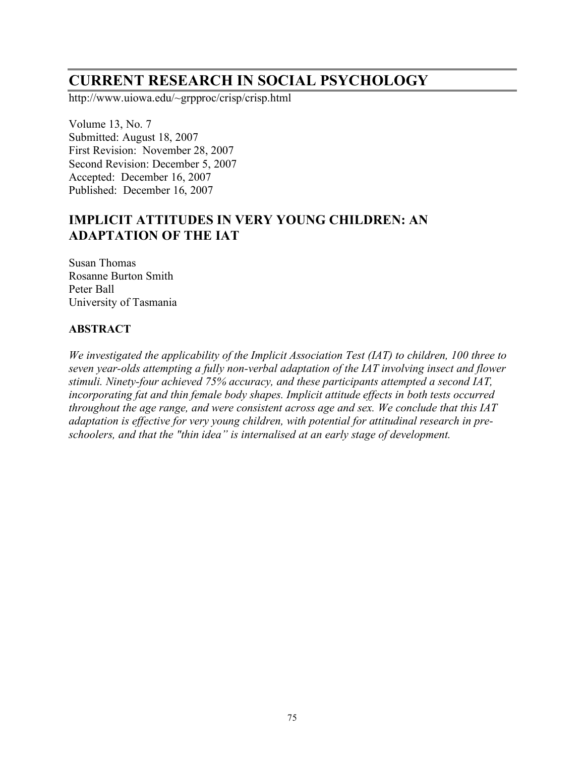# **CURRENT RESEARCH IN SOCIAL PSYCHOLOGY**

http://www.uiowa.edu/~grpproc/crisp/crisp.html

Volume 13, No. 7 Submitted: August 18, 2007 First Revision: November 28, 2007 Second Revision: December 5, 2007 Accepted: December 16, 2007 Published: December 16, 2007

# **IMPLICIT ATTITUDES IN VERY YOUNG CHILDREN: AN ADAPTATION OF THE IAT**

Susan Thomas Rosanne Burton Smith Peter Ball University of Tasmania

#### **ABSTRACT**

*We investigated the applicability of the Implicit Association Test (IAT) to children, 100 three to seven year-olds attempting a fully non-verbal adaptation of the IAT involving insect and flower stimuli. Ninety-four achieved 75% accuracy, and these participants attempted a second IAT, incorporating fat and thin female body shapes. Implicit attitude effects in both tests occurred throughout the age range, and were consistent across age and sex. We conclude that this IAT adaptation is effective for very young children, with potential for attitudinal research in preschoolers, and that the "thin idea" is internalised at an early stage of development.*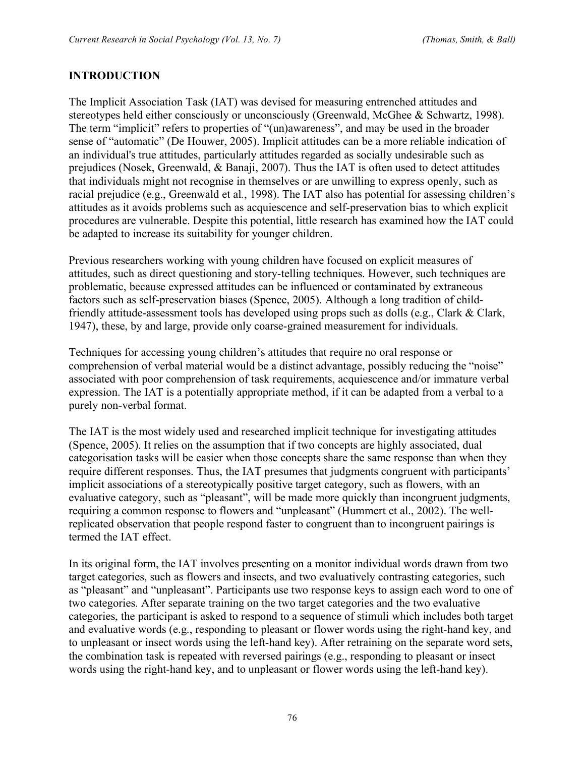#### **INTRODUCTION**

The Implicit Association Task (IAT) was devised for measuring entrenched attitudes and stereotypes held either consciously or unconsciously (Greenwald, McGhee & Schwartz, 1998). The term "implicit" refers to properties of "(un)awareness", and may be used in the broader sense of "automatic" (De Houwer, 2005). Implicit attitudes can be a more reliable indication of an individual's true attitudes, particularly attitudes regarded as socially undesirable such as prejudices (Nosek, Greenwald, & Banaji, 2007). Thus the IAT is often used to detect attitudes that individuals might not recognise in themselves or are unwilling to express openly, such as racial prejudice (e.g., Greenwald et al*.*, 1998). The IAT also has potential for assessing children's attitudes as it avoids problems such as acquiescence and self-preservation bias to which explicit procedures are vulnerable. Despite this potential, little research has examined how the IAT could be adapted to increase its suitability for younger children.

Previous researchers working with young children have focused on explicit measures of attitudes, such as direct questioning and story-telling techniques. However, such techniques are problematic, because expressed attitudes can be influenced or contaminated by extraneous factors such as self-preservation biases (Spence, 2005). Although a long tradition of childfriendly attitude-assessment tools has developed using props such as dolls (e.g., Clark & Clark, 1947), these, by and large, provide only coarse-grained measurement for individuals.

Techniques for accessing young children's attitudes that require no oral response or comprehension of verbal material would be a distinct advantage, possibly reducing the "noise" associated with poor comprehension of task requirements, acquiescence and/or immature verbal expression. The IAT is a potentially appropriate method, if it can be adapted from a verbal to a purely non-verbal format.

The IAT is the most widely used and researched implicit technique for investigating attitudes (Spence, 2005). It relies on the assumption that if two concepts are highly associated, dual categorisation tasks will be easier when those concepts share the same response than when they require different responses. Thus, the IAT presumes that judgments congruent with participants' implicit associations of a stereotypically positive target category, such as flowers, with an evaluative category, such as "pleasant", will be made more quickly than incongruent judgments, requiring a common response to flowers and "unpleasant" (Hummert et al., 2002). The wellreplicated observation that people respond faster to congruent than to incongruent pairings is termed the IAT effect.

In its original form, the IAT involves presenting on a monitor individual words drawn from two target categories, such as flowers and insects, and two evaluatively contrasting categories, such as "pleasant" and "unpleasant". Participants use two response keys to assign each word to one of two categories. After separate training on the two target categories and the two evaluative categories, the participant is asked to respond to a sequence of stimuli which includes both target and evaluative words (e.g., responding to pleasant or flower words using the right-hand key, and to unpleasant or insect words using the left-hand key). After retraining on the separate word sets, the combination task is repeated with reversed pairings (e.g., responding to pleasant or insect words using the right-hand key, and to unpleasant or flower words using the left-hand key).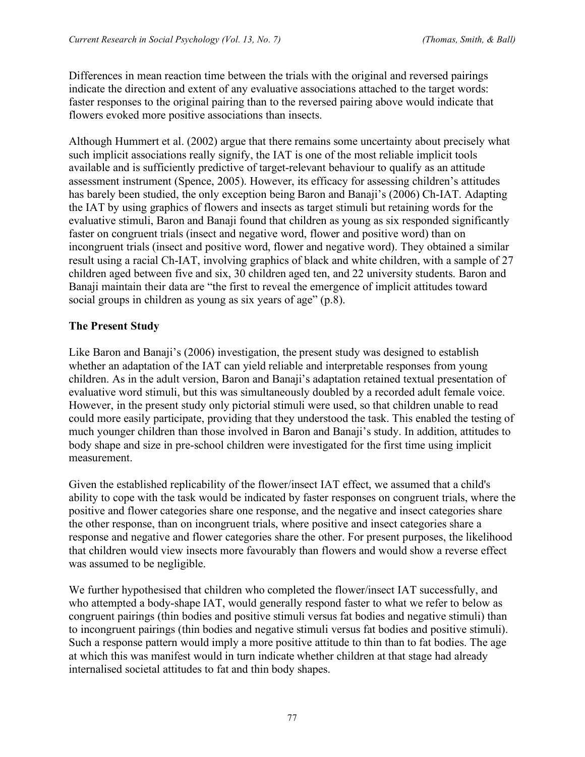Differences in mean reaction time between the trials with the original and reversed pairings indicate the direction and extent of any evaluative associations attached to the target words: faster responses to the original pairing than to the reversed pairing above would indicate that flowers evoked more positive associations than insects.

Although Hummert et al. (2002) argue that there remains some uncertainty about precisely what such implicit associations really signify, the IAT is one of the most reliable implicit tools available and is sufficiently predictive of target-relevant behaviour to qualify as an attitude assessment instrument (Spence, 2005). However, its efficacy for assessing children's attitudes has barely been studied, the only exception being Baron and Banaji's (2006) Ch-IAT. Adapting the IAT by using graphics of flowers and insects as target stimuli but retaining words for the evaluative stimuli, Baron and Banaji found that children as young as six responded significantly faster on congruent trials (insect and negative word, flower and positive word) than on incongruent trials (insect and positive word, flower and negative word). They obtained a similar result using a racial Ch-IAT, involving graphics of black and white children, with a sample of 27 children aged between five and six, 30 children aged ten, and 22 university students. Baron and Banaji maintain their data are "the first to reveal the emergence of implicit attitudes toward social groups in children as young as six years of age" (p.8).

#### **The Present Study**

Like Baron and Banaji's (2006) investigation, the present study was designed to establish whether an adaptation of the IAT can yield reliable and interpretable responses from young children. As in the adult version, Baron and Banaji's adaptation retained textual presentation of evaluative word stimuli, but this was simultaneously doubled by a recorded adult female voice. However, in the present study only pictorial stimuli were used, so that children unable to read could more easily participate, providing that they understood the task. This enabled the testing of much younger children than those involved in Baron and Banaji's study. In addition, attitudes to body shape and size in pre-school children were investigated for the first time using implicit measurement.

Given the established replicability of the flower/insect IAT effect, we assumed that a child's ability to cope with the task would be indicated by faster responses on congruent trials, where the positive and flower categories share one response, and the negative and insect categories share the other response, than on incongruent trials, where positive and insect categories share a response and negative and flower categories share the other. For present purposes, the likelihood that children would view insects more favourably than flowers and would show a reverse effect was assumed to be negligible.

We further hypothesised that children who completed the flower/insect IAT successfully, and who attempted a body-shape IAT, would generally respond faster to what we refer to below as congruent pairings (thin bodies and positive stimuli versus fat bodies and negative stimuli) than to incongruent pairings (thin bodies and negative stimuli versus fat bodies and positive stimuli). Such a response pattern would imply a more positive attitude to thin than to fat bodies. The age at which this was manifest would in turn indicate whether children at that stage had already internalised societal attitudes to fat and thin body shapes.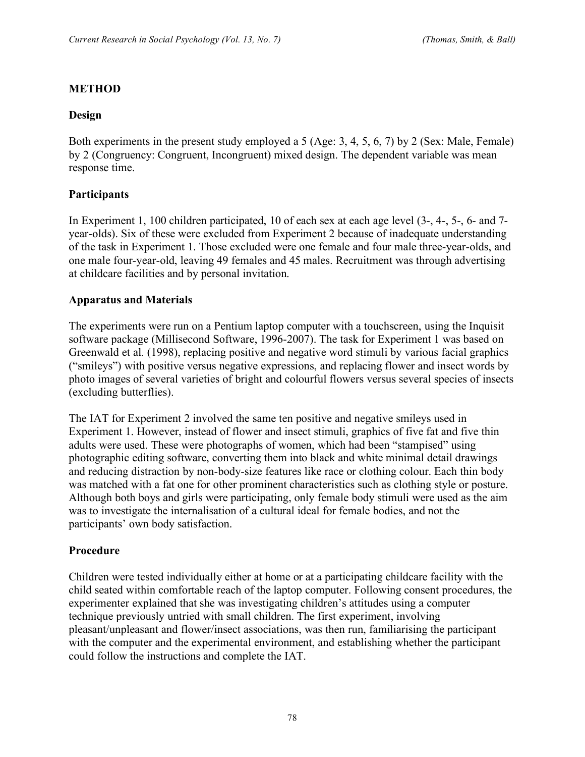# **METHOD**

#### **Design**

Both experiments in the present study employed a 5 (Age: 3, 4, 5, 6, 7) by 2 (Sex: Male, Female) by 2 (Congruency: Congruent, Incongruent) mixed design. The dependent variable was mean response time.

# **Participants**

In Experiment 1, 100 children participated, 10 of each sex at each age level (3-, 4-, 5-, 6- and 7 year-olds). Six of these were excluded from Experiment 2 because of inadequate understanding of the task in Experiment 1. Those excluded were one female and four male three-year-olds, and one male four-year-old, leaving 49 females and 45 males. Recruitment was through advertising at childcare facilities and by personal invitation.

#### **Apparatus and Materials**

The experiments were run on a Pentium laptop computer with a touchscreen, using the Inquisit software package (Millisecond Software, 1996-2007). The task for Experiment 1 was based on Greenwald et al*.* (1998), replacing positive and negative word stimuli by various facial graphics ("smileys") with positive versus negative expressions, and replacing flower and insect words by photo images of several varieties of bright and colourful flowers versus several species of insects (excluding butterflies).

The IAT for Experiment 2 involved the same ten positive and negative smileys used in Experiment 1. However, instead of flower and insect stimuli, graphics of five fat and five thin adults were used. These were photographs of women, which had been "stampised" using photographic editing software, converting them into black and white minimal detail drawings and reducing distraction by non-body-size features like race or clothing colour. Each thin body was matched with a fat one for other prominent characteristics such as clothing style or posture. Although both boys and girls were participating, only female body stimuli were used as the aim was to investigate the internalisation of a cultural ideal for female bodies, and not the participants' own body satisfaction.

# **Procedure**

Children were tested individually either at home or at a participating childcare facility with the child seated within comfortable reach of the laptop computer. Following consent procedures, the experimenter explained that she was investigating children's attitudes using a computer technique previously untried with small children. The first experiment, involving pleasant/unpleasant and flower/insect associations, was then run, familiarising the participant with the computer and the experimental environment, and establishing whether the participant could follow the instructions and complete the IAT.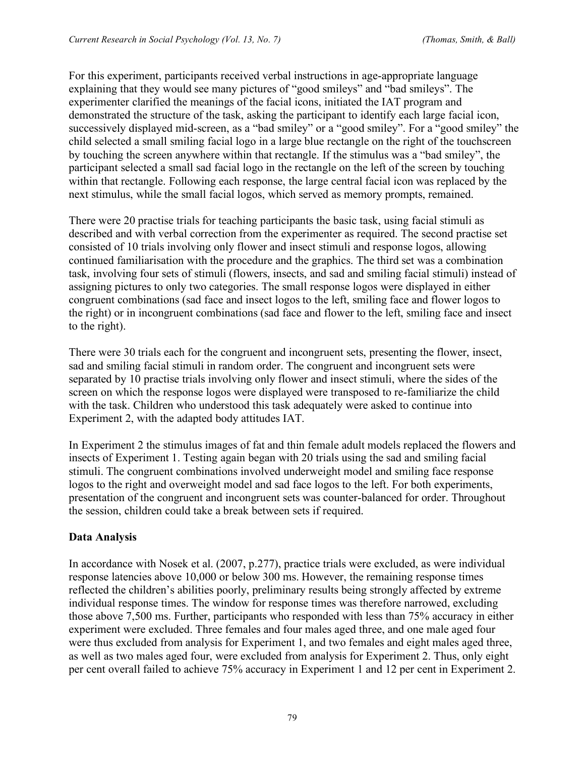For this experiment, participants received verbal instructions in age-appropriate language explaining that they would see many pictures of "good smileys" and "bad smileys". The experimenter clarified the meanings of the facial icons, initiated the IAT program and demonstrated the structure of the task, asking the participant to identify each large facial icon, successively displayed mid-screen, as a "bad smiley" or a "good smiley". For a "good smiley" the child selected a small smiling facial logo in a large blue rectangle on the right of the touchscreen by touching the screen anywhere within that rectangle. If the stimulus was a "bad smiley", the participant selected a small sad facial logo in the rectangle on the left of the screen by touching within that rectangle. Following each response, the large central facial icon was replaced by the next stimulus, while the small facial logos, which served as memory prompts, remained.

There were 20 practise trials for teaching participants the basic task, using facial stimuli as described and with verbal correction from the experimenter as required. The second practise set consisted of 10 trials involving only flower and insect stimuli and response logos, allowing continued familiarisation with the procedure and the graphics. The third set was a combination task, involving four sets of stimuli (flowers, insects, and sad and smiling facial stimuli) instead of assigning pictures to only two categories. The small response logos were displayed in either congruent combinations (sad face and insect logos to the left, smiling face and flower logos to the right) or in incongruent combinations (sad face and flower to the left, smiling face and insect to the right).

There were 30 trials each for the congruent and incongruent sets, presenting the flower, insect, sad and smiling facial stimuli in random order. The congruent and incongruent sets were separated by 10 practise trials involving only flower and insect stimuli, where the sides of the screen on which the response logos were displayed were transposed to re-familiarize the child with the task. Children who understood this task adequately were asked to continue into Experiment 2, with the adapted body attitudes IAT.

In Experiment 2 the stimulus images of fat and thin female adult models replaced the flowers and insects of Experiment 1. Testing again began with 20 trials using the sad and smiling facial stimuli. The congruent combinations involved underweight model and smiling face response logos to the right and overweight model and sad face logos to the left. For both experiments, presentation of the congruent and incongruent sets was counter-balanced for order. Throughout the session, children could take a break between sets if required.

# **Data Analysis**

In accordance with Nosek et al. (2007, p.277), practice trials were excluded, as were individual response latencies above 10,000 or below 300 ms. However, the remaining response times reflected the children's abilities poorly, preliminary results being strongly affected by extreme individual response times. The window for response times was therefore narrowed, excluding those above 7,500 ms. Further, participants who responded with less than 75% accuracy in either experiment were excluded. Three females and four males aged three, and one male aged four were thus excluded from analysis for Experiment 1, and two females and eight males aged three, as well as two males aged four, were excluded from analysis for Experiment 2. Thus, only eight per cent overall failed to achieve 75% accuracy in Experiment 1 and 12 per cent in Experiment 2.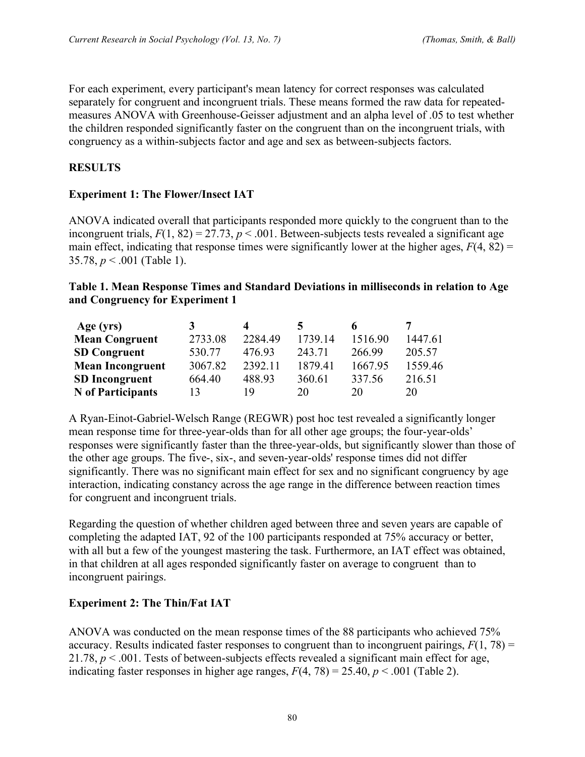For each experiment, every participant's mean latency for correct responses was calculated separately for congruent and incongruent trials. These means formed the raw data for repeatedmeasures ANOVA with Greenhouse-Geisser adjustment and an alpha level of .05 to test whether the children responded significantly faster on the congruent than on the incongruent trials, with congruency as a within-subjects factor and age and sex as between-subjects factors.

## **RESULTS**

#### **Experiment 1: The Flower/Insect IAT**

ANOVA indicated overall that participants responded more quickly to the congruent than to the incongruent trials,  $F(1, 82) = 27.73$ ,  $p < .001$ . Between-subjects tests revealed a significant age main effect, indicating that response times were significantly lower at the higher ages,  $F(4, 82) =$ 35.78, *p* < .001 (Table 1).

#### **Table 1. Mean Response Times and Standard Deviations in milliseconds in relation to Age and Congruency for Experiment 1**

| Age (yrs)               |         |         |         |         |         |
|-------------------------|---------|---------|---------|---------|---------|
| <b>Mean Congruent</b>   | 2733.08 | 2284.49 | 1739.14 | 1516.90 | 1447.61 |
| <b>SD Congruent</b>     | 530.77  | 476.93  | 243.71  | 266.99  | 205.57  |
| <b>Mean Incongruent</b> | 3067.82 | 2392.11 | 1879.41 | 1667.95 | 1559.46 |
| <b>SD</b> Incongruent   | 664.40  | 488.93  | 360.61  | 337.56  | 216.51  |
| N of Participants       |         | 19      | 20      | 20      | 20      |

A Ryan-Einot-Gabriel-Welsch Range (REGWR) post hoc test revealed a significantly longer mean response time for three-year-olds than for all other age groups; the four-year-olds' responses were significantly faster than the three-year-olds, but significantly slower than those of the other age groups. The five-, six-, and seven-year-olds' response times did not differ significantly. There was no significant main effect for sex and no significant congruency by age interaction, indicating constancy across the age range in the difference between reaction times for congruent and incongruent trials.

Regarding the question of whether children aged between three and seven years are capable of completing the adapted IAT, 92 of the 100 participants responded at 75% accuracy or better, with all but a few of the youngest mastering the task. Furthermore, an IAT effect was obtained, in that children at all ages responded significantly faster on average to congruent than to incongruent pairings.

#### **Experiment 2: The Thin/Fat IAT**

ANOVA was conducted on the mean response times of the 88 participants who achieved 75% accuracy. Results indicated faster responses to congruent than to incongruent pairings,  $F(1, 78) =$ 21.78, *p* < .001. Tests of between-subjects effects revealed a significant main effect for age, indicating faster responses in higher age ranges,  $F(4, 78) = 25.40, p < .001$  (Table 2).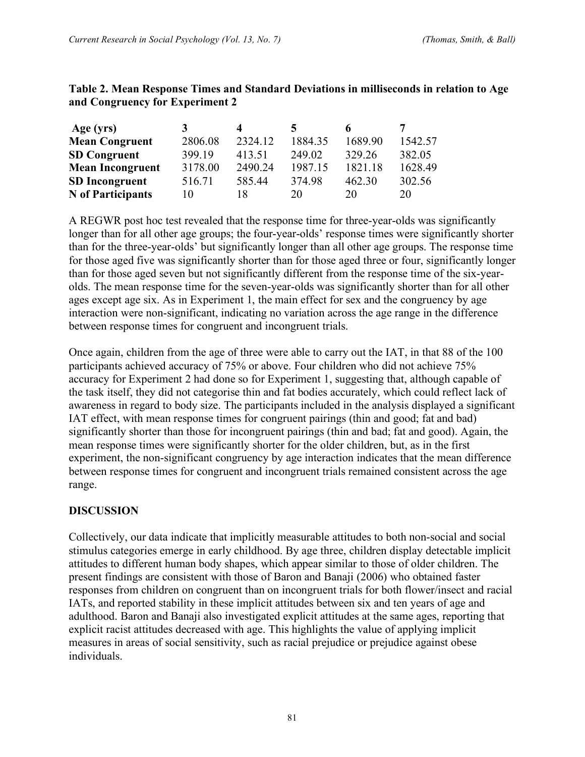| Age (yrs)                |         | $\boldsymbol{A}$ |         |         |         |
|--------------------------|---------|------------------|---------|---------|---------|
| <b>Mean Congruent</b>    | 2806.08 | 2324.12          | 1884.35 | 1689.90 | 1542.57 |
| <b>SD Congruent</b>      | 399.19  | 413.51           | 249.02  | 329.26  | 382.05  |
| <b>Mean Incongruent</b>  | 3178.00 | 2490.24          | 1987.15 | 1821.18 | 1628.49 |
| <b>SD</b> Incongruent    | 516.71  | 585.44           | 374.98  | 462.30  | 302.56  |
| <b>N</b> of Participants | 10      | 18               | 20      | 20      | 20      |

#### **Table 2. Mean Response Times and Standard Deviations in milliseconds in relation to Age and Congruency for Experiment 2**

A REGWR post hoc test revealed that the response time for three-year-olds was significantly longer than for all other age groups; the four-year-olds' response times were significantly shorter than for the three-year-olds' but significantly longer than all other age groups. The response time for those aged five was significantly shorter than for those aged three or four, significantly longer than for those aged seven but not significantly different from the response time of the six-yearolds. The mean response time for the seven-year-olds was significantly shorter than for all other ages except age six. As in Experiment 1, the main effect for sex and the congruency by age interaction were non-significant, indicating no variation across the age range in the difference between response times for congruent and incongruent trials.

Once again, children from the age of three were able to carry out the IAT, in that 88 of the 100 participants achieved accuracy of 75% or above. Four children who did not achieve 75% accuracy for Experiment 2 had done so for Experiment 1, suggesting that, although capable of the task itself, they did not categorise thin and fat bodies accurately, which could reflect lack of awareness in regard to body size. The participants included in the analysis displayed a significant IAT effect, with mean response times for congruent pairings (thin and good; fat and bad) significantly shorter than those for incongruent pairings (thin and bad; fat and good). Again, the mean response times were significantly shorter for the older children, but, as in the first experiment, the non-significant congruency by age interaction indicates that the mean difference between response times for congruent and incongruent trials remained consistent across the age range.

#### **DISCUSSION**

Collectively, our data indicate that implicitly measurable attitudes to both non-social and social stimulus categories emerge in early childhood. By age three, children display detectable implicit attitudes to different human body shapes, which appear similar to those of older children. The present findings are consistent with those of Baron and Banaji (2006) who obtained faster responses from children on congruent than on incongruent trials for both flower/insect and racial IATs, and reported stability in these implicit attitudes between six and ten years of age and adulthood. Baron and Banaji also investigated explicit attitudes at the same ages, reporting that explicit racist attitudes decreased with age. This highlights the value of applying implicit measures in areas of social sensitivity, such as racial prejudice or prejudice against obese individuals.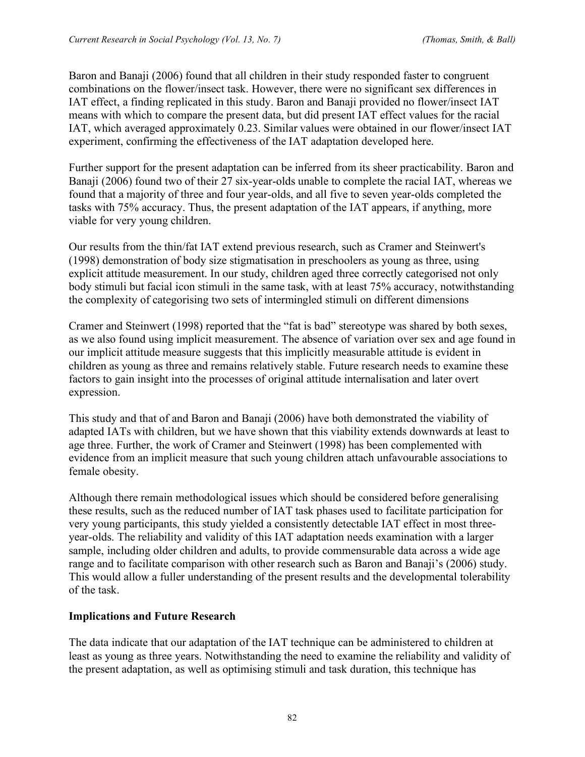Baron and Banaji (2006) found that all children in their study responded faster to congruent combinations on the flower/insect task. However, there were no significant sex differences in IAT effect, a finding replicated in this study. Baron and Banaji provided no flower/insect IAT means with which to compare the present data, but did present IAT effect values for the racial IAT, which averaged approximately 0.23. Similar values were obtained in our flower/insect IAT experiment, confirming the effectiveness of the IAT adaptation developed here.

Further support for the present adaptation can be inferred from its sheer practicability. Baron and Banaji (2006) found two of their 27 six-year-olds unable to complete the racial IAT, whereas we found that a majority of three and four year-olds, and all five to seven year-olds completed the tasks with 75% accuracy. Thus, the present adaptation of the IAT appears, if anything, more viable for very young children.

Our results from the thin/fat IAT extend previous research, such as Cramer and Steinwert's (1998) demonstration of body size stigmatisation in preschoolers as young as three, using explicit attitude measurement. In our study, children aged three correctly categorised not only body stimuli but facial icon stimuli in the same task, with at least 75% accuracy, notwithstanding the complexity of categorising two sets of intermingled stimuli on different dimensions

Cramer and Steinwert (1998) reported that the "fat is bad" stereotype was shared by both sexes, as we also found using implicit measurement. The absence of variation over sex and age found in our implicit attitude measure suggests that this implicitly measurable attitude is evident in children as young as three and remains relatively stable. Future research needs to examine these factors to gain insight into the processes of original attitude internalisation and later overt expression.

This study and that of and Baron and Banaji (2006) have both demonstrated the viability of adapted IATs with children, but we have shown that this viability extends downwards at least to age three. Further, the work of Cramer and Steinwert (1998) has been complemented with evidence from an implicit measure that such young children attach unfavourable associations to female obesity.

Although there remain methodological issues which should be considered before generalising these results, such as the reduced number of IAT task phases used to facilitate participation for very young participants, this study yielded a consistently detectable IAT effect in most threeyear-olds. The reliability and validity of this IAT adaptation needs examination with a larger sample, including older children and adults, to provide commensurable data across a wide age range and to facilitate comparison with other research such as Baron and Banaji's (2006) study. This would allow a fuller understanding of the present results and the developmental tolerability of the task.

# **Implications and Future Research**

The data indicate that our adaptation of the IAT technique can be administered to children at least as young as three years. Notwithstanding the need to examine the reliability and validity of the present adaptation, as well as optimising stimuli and task duration, this technique has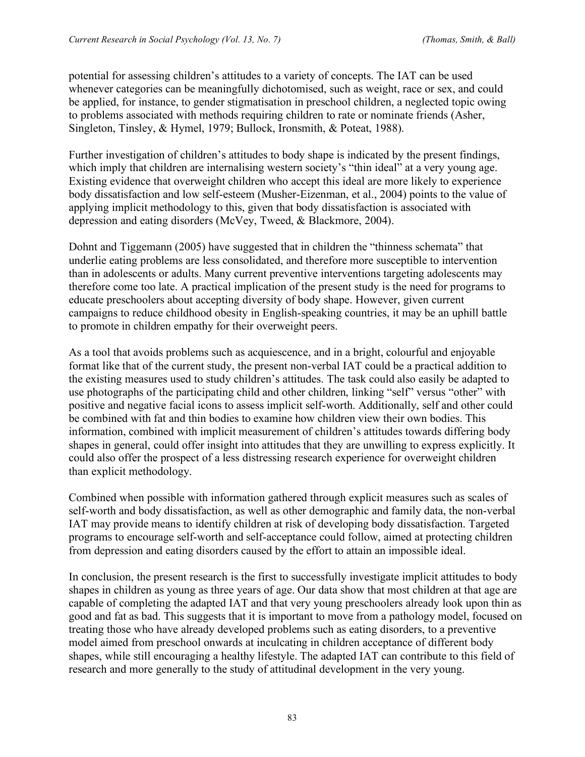potential for assessing children's attitudes to a variety of concepts. The IAT can be used whenever categories can be meaningfully dichotomised, such as weight, race or sex, and could be applied, for instance, to gender stigmatisation in preschool children, a neglected topic owing to problems associated with methods requiring children to rate or nominate friends (Asher, Singleton, Tinsley, & Hymel, 1979; Bullock, Ironsmith, & Poteat, 1988).

Further investigation of children's attitudes to body shape is indicated by the present findings, which imply that children are internalising western society's "thin ideal" at a very young age. Existing evidence that overweight children who accept this ideal are more likely to experience body dissatisfaction and low self-esteem (Musher-Eizenman, et al., 2004) points to the value of applying implicit methodology to this, given that body dissatisfaction is associated with depression and eating disorders (McVey, Tweed, & Blackmore, 2004).

Dohnt and Tiggemann (2005) have suggested that in children the "thinness schemata" that underlie eating problems are less consolidated, and therefore more susceptible to intervention than in adolescents or adults. Many current preventive interventions targeting adolescents may therefore come too late. A practical implication of the present study is the need for programs to educate preschoolers about accepting diversity of body shape. However, given current campaigns to reduce childhood obesity in English-speaking countries, it may be an uphill battle to promote in children empathy for their overweight peers.

As a tool that avoids problems such as acquiescence, and in a bright, colourful and enjoyable format like that of the current study, the present non-verbal IAT could be a practical addition to the existing measures used to study children's attitudes. The task could also easily be adapted to use photographs of the participating child and other children, linking "self" versus "other" with positive and negative facial icons to assess implicit self-worth. Additionally, self and other could be combined with fat and thin bodies to examine how children view their own bodies. This information, combined with implicit measurement of children's attitudes towards differing body shapes in general, could offer insight into attitudes that they are unwilling to express explicitly. It could also offer the prospect of a less distressing research experience for overweight children than explicit methodology.

Combined when possible with information gathered through explicit measures such as scales of self-worth and body dissatisfaction, as well as other demographic and family data, the non-verbal IAT may provide means to identify children at risk of developing body dissatisfaction. Targeted programs to encourage self-worth and self-acceptance could follow, aimed at protecting children from depression and eating disorders caused by the effort to attain an impossible ideal.

In conclusion, the present research is the first to successfully investigate implicit attitudes to body shapes in children as young as three years of age. Our data show that most children at that age are capable of completing the adapted IAT and that very young preschoolers already look upon thin as good and fat as bad. This suggests that it is important to move from a pathology model, focused on treating those who have already developed problems such as eating disorders, to a preventive model aimed from preschool onwards at inculcating in children acceptance of different body shapes, while still encouraging a healthy lifestyle. The adapted IAT can contribute to this field of research and more generally to the study of attitudinal development in the very young.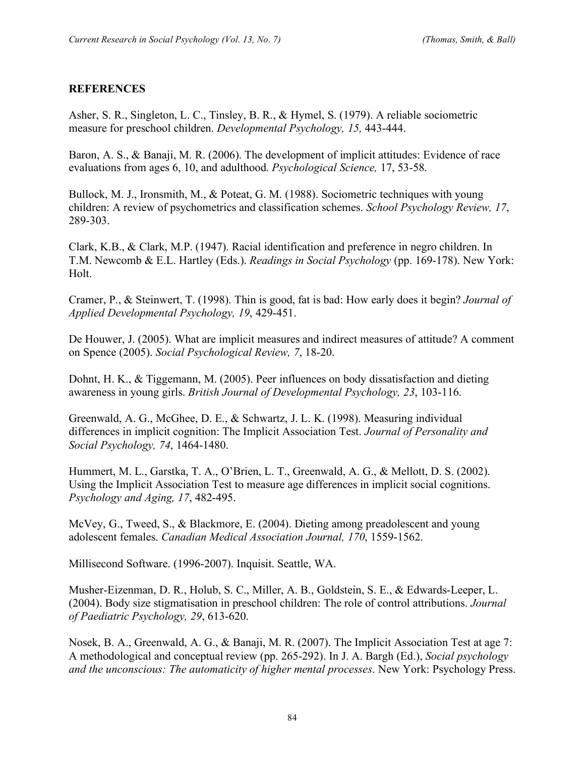#### **REFERENCES**

Asher, S. R., Singleton, L. C., Tinsley, B. R., & Hymel, S. (1979). A reliable sociometric measure for preschool children. *Developmental Psychology, 15,* 443-444.

Baron, A. S., & Banaji, M. R. (2006). The development of implicit attitudes: Evidence of race evaluations from ages 6, 10, and adulthood. *Psychological Science,* 17, 53-58.

Bullock, M. J., Ironsmith, M., & Poteat, G. M. (1988). Sociometric techniques with young children: A review of psychometrics and classification schemes. *School Psychology Review, 17*, 289-303.

Clark, K.B., & Clark, M.P. (1947). Racial identification and preference in negro children. In T.M. Newcomb & E.L. Hartley (Eds.). *Readings in Social Psychology* (pp. 169-178). New York: Holt.

Cramer, P., & Steinwert, T. (1998). Thin is good, fat is bad: How early does it begin? *Journal of Applied Developmental Psychology, 19*, 429-451.

De Houwer, J. (2005). What are implicit measures and indirect measures of attitude? A comment on Spence (2005). *Social Psychological Review, 7*, 18-20.

Dohnt, H. K., & Tiggemann, M. (2005). Peer influences on body dissatisfaction and dieting awareness in young girls. *British Journal of Developmental Psychology, 23*, 103-116.

Greenwald, A. G., McGhee, D. E., & Schwartz, J. L. K. (1998). Measuring individual differences in implicit cognition: The Implicit Association Test. *Journal of Personality and Social Psychology, 74*, 1464-1480.

Hummert, M. L., Garstka, T. A., O'Brien, L. T., Greenwald, A. G., & Mellott, D. S. (2002). Using the Implicit Association Test to measure age differences in implicit social cognitions. *Psychology and Aging, 17*, 482-495.

McVey, G., Tweed, S., & Blackmore, E. (2004). Dieting among preadolescent and young adolescent females. *Canadian Medical Association Journal, 170*, 1559-1562.

Millisecond Software. (1996-2007). Inquisit. Seattle, WA.

Musher-Eizenman, D. R., Holub, S. C., Miller, A. B., Goldstein, S. E., & Edwards-Leeper, L. (2004). Body size stigmatisation in preschool children: The role of control attributions. *Journal of Paediatric Psychology, 29*, 613-620.

Nosek, B. A., Greenwald, A. G., & Banaji, M. R. (2007). The Implicit Association Test at age 7: A methodological and conceptual review (pp. 265-292). In J. A. Bargh (Ed.), *Social psychology and the unconscious: The automaticity of higher mental processes*. New York: Psychology Press.